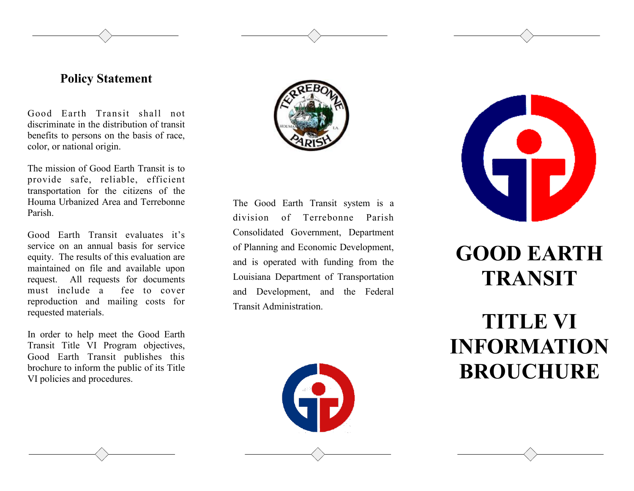## **Policy Statement**

Good Earth Transit shall not discriminate in the distribution of transit benefits to persons on the basis of race, color, or national origin.

The mission of Good Earth Transit is to provide safe, reliable, efficient transportation for the citizens of the Houma Urbanized Area and Terrebonne Parish.

Good Earth Transit evaluates it's service on an annual basis for service equity. The results of this evaluation are maintained on file and available upon request. All requests for documents must include a fee to cover reproduction and mailing costs for requested materials.

In order to help meet the Good Earth Transit Title VI Program objectives, Good Earth Transit publishes this brochure to inform the public of its Title VI policies and procedures.



The Good Earth Transit system is a division of Terrebonne Parish Consolidated Government, Department of Planning and Economic Development, and is operated with funding from the Louisiana Department of Transportation and Development, and the Federal Transit Administration.





## **GOOD EARTH TRANSIT**

**TITLE VI INFORMATION BROUCHURE**